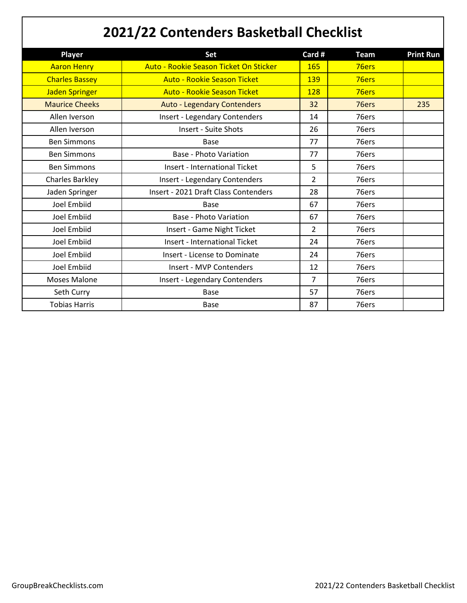## **2021/22 Contenders Basketball Checklist**

| <b>Player</b>          | Set                                    | Card #         | <b>Team</b> | <b>Print Run</b> |
|------------------------|----------------------------------------|----------------|-------------|------------------|
| <b>Aaron Henry</b>     | Auto - Rookie Season Ticket On Sticker | 165            | 76ers       |                  |
| <b>Charles Bassey</b>  | <b>Auto - Rookie Season Ticket</b>     | 139            | 76ers       |                  |
| <b>Jaden Springer</b>  | <b>Auto - Rookie Season Ticket</b>     | 128            | 76ers       |                  |
| <b>Maurice Cheeks</b>  | <b>Auto - Legendary Contenders</b>     | 32             | 76ers       | 235              |
| Allen Iverson          | <b>Insert - Legendary Contenders</b>   | 14             | 76ers       |                  |
| Allen Iverson          | <b>Insert - Suite Shots</b>            | 26             | 76ers       |                  |
| <b>Ben Simmons</b>     | <b>Base</b>                            | 77             | 76ers       |                  |
| <b>Ben Simmons</b>     | <b>Base - Photo Variation</b>          | 77             | 76ers       |                  |
| <b>Ben Simmons</b>     | <b>Insert - International Ticket</b>   | 5              | 76ers       |                  |
| <b>Charles Barkley</b> | <b>Insert - Legendary Contenders</b>   | $\overline{2}$ | 76ers       |                  |
| Jaden Springer         | Insert - 2021 Draft Class Contenders   | 28             | 76ers       |                  |
| <b>Joel Embiid</b>     | Base                                   | 67             | 76ers       |                  |
| <b>Joel Embiid</b>     | <b>Base - Photo Variation</b>          | 67             | 76ers       |                  |
| Joel Embiid            | Insert - Game Night Ticket             | $\overline{2}$ | 76ers       |                  |
| Joel Embiid            | <b>Insert - International Ticket</b>   | 24             | 76ers       |                  |
| Joel Embiid            | Insert - License to Dominate           | 24             | 76ers       |                  |
| Joel Embiid            | Insert - MVP Contenders                | 12             | 76ers       |                  |
| <b>Moses Malone</b>    | <b>Insert - Legendary Contenders</b>   | $\overline{7}$ | 76ers       |                  |
| Seth Curry             | <b>Base</b>                            | 57             | 76ers       |                  |
| <b>Tobias Harris</b>   | <b>Base</b>                            | 87             | 76ers       |                  |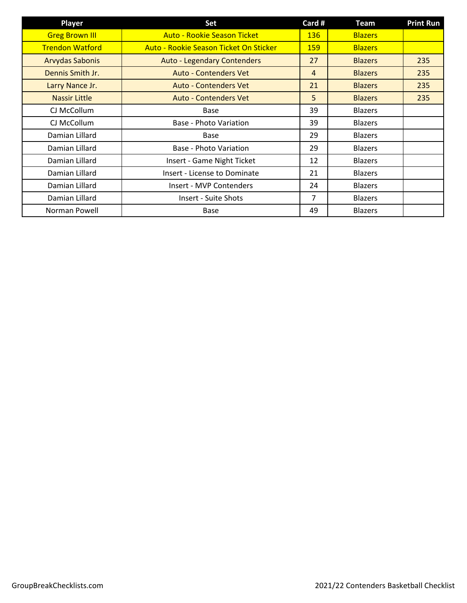| <b>Player</b>          | Set                                    | Card #         | <b>Team</b>    | <b>Print Run</b> |
|------------------------|----------------------------------------|----------------|----------------|------------------|
| <b>Greg Brown III</b>  | <b>Auto - Rookie Season Ticket</b>     | 136            | <b>Blazers</b> |                  |
| <b>Trendon Watford</b> | Auto - Rookie Season Ticket On Sticker | <b>159</b>     | <b>Blazers</b> |                  |
| <b>Arvydas Sabonis</b> | <b>Auto - Legendary Contenders</b>     | 27             | <b>Blazers</b> | 235              |
| Dennis Smith Jr.       | <b>Auto - Contenders Vet</b>           | $\overline{4}$ | <b>Blazers</b> | 235              |
| Larry Nance Jr.        | <b>Auto - Contenders Vet</b>           | 21             | <b>Blazers</b> | 235              |
| <b>Nassir Little</b>   | <b>Auto - Contenders Vet</b>           | 5              | <b>Blazers</b> | 235              |
| CJ McCollum            | Base                                   | 39             | <b>Blazers</b> |                  |
| CJ McCollum            | Base - Photo Variation                 | 39             | <b>Blazers</b> |                  |
| Damian Lillard         | Base                                   | 29             | <b>Blazers</b> |                  |
| Damian Lillard         | Base - Photo Variation                 | 29             | <b>Blazers</b> |                  |
| Damian Lillard         | Insert - Game Night Ticket             | 12             | Blazers        |                  |
| Damian Lillard         | Insert - License to Dominate           | 21             | <b>Blazers</b> |                  |
| Damian Lillard         | Insert - MVP Contenders                | 24             | <b>Blazers</b> |                  |
| Damian Lillard         | <b>Insert - Suite Shots</b>            | 7              | <b>Blazers</b> |                  |
| Norman Powell          | Base                                   | 49             | <b>Blazers</b> |                  |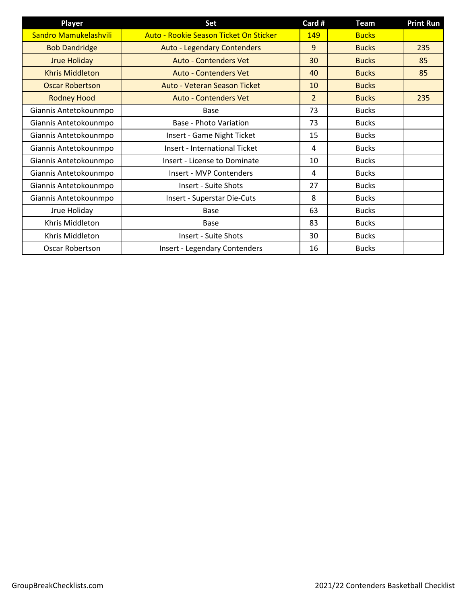| <b>Player</b>          | Set                                    | Card # | <b>Team</b>  | <b>Print Run</b> |
|------------------------|----------------------------------------|--------|--------------|------------------|
| Sandro Mamukelashvili  | Auto - Rookie Season Ticket On Sticker | 149    | <b>Bucks</b> |                  |
| <b>Bob Dandridge</b>   | <b>Auto - Legendary Contenders</b>     | 9      | <b>Bucks</b> | 235              |
| <b>Jrue Holiday</b>    | <b>Auto - Contenders Vet</b>           | 30     | <b>Bucks</b> | 85               |
| <b>Khris Middleton</b> | <b>Auto - Contenders Vet</b>           | 40     | <b>Bucks</b> | 85               |
| <b>Oscar Robertson</b> | Auto - Veteran Season Ticket           | 10     | <b>Bucks</b> |                  |
| <b>Rodney Hood</b>     | <b>Auto - Contenders Vet</b>           | 2      | <b>Bucks</b> | 235              |
| Giannis Antetokounmpo  | Base                                   | 73     | <b>Bucks</b> |                  |
| Giannis Antetokounmpo  | <b>Base - Photo Variation</b>          | 73     | <b>Bucks</b> |                  |
| Giannis Antetokounmpo  | Insert - Game Night Ticket             | 15     | <b>Bucks</b> |                  |
| Giannis Antetokounmpo  | <b>Insert - International Ticket</b>   | 4      | <b>Bucks</b> |                  |
| Giannis Antetokounmpo  | <b>Insert - License to Dominate</b>    | 10     | <b>Bucks</b> |                  |
| Giannis Antetokounmpo  | Insert - MVP Contenders                | 4      | <b>Bucks</b> |                  |
| Giannis Antetokounmpo  | Insert - Suite Shots                   | 27     | <b>Bucks</b> |                  |
| Giannis Antetokounmpo  | Insert - Superstar Die-Cuts            | 8      | <b>Bucks</b> |                  |
| Jrue Holiday           | Base                                   | 63     | <b>Bucks</b> |                  |
| Khris Middleton        | Base                                   | 83     | <b>Bucks</b> |                  |
| Khris Middleton        | <b>Insert - Suite Shots</b>            | 30     | <b>Bucks</b> |                  |
| Oscar Robertson        | <b>Insert - Legendary Contenders</b>   | 16     | <b>Bucks</b> |                  |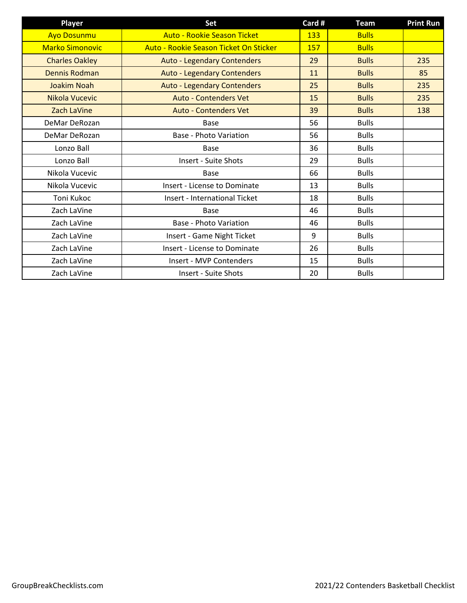| <b>Player</b>          | Set                                    | Card # | <b>Team</b>  | <b>Print Run</b> |
|------------------------|----------------------------------------|--------|--------------|------------------|
| <b>Ayo Dosunmu</b>     | <b>Auto - Rookie Season Ticket</b>     | 133    | <b>Bulls</b> |                  |
| <b>Marko Simonovic</b> | Auto - Rookie Season Ticket On Sticker | 157    | <b>Bulls</b> |                  |
| <b>Charles Oakley</b>  | <b>Auto - Legendary Contenders</b>     | 29     | <b>Bulls</b> | 235              |
| Dennis Rodman          | <b>Auto - Legendary Contenders</b>     | 11     | <b>Bulls</b> | 85               |
| <b>Joakim Noah</b>     | <b>Auto - Legendary Contenders</b>     | 25     | <b>Bulls</b> | 235              |
| Nikola Vucevic         | <b>Auto - Contenders Vet</b>           | 15     | <b>Bulls</b> | 235              |
| Zach LaVine            | <b>Auto - Contenders Vet</b>           | 39     | <b>Bulls</b> | 138              |
| DeMar DeRozan          | Base                                   | 56     | <b>Bulls</b> |                  |
| DeMar DeRozan          | <b>Base - Photo Variation</b>          | 56     | <b>Bulls</b> |                  |
| Lonzo Ball             | Base                                   | 36     | <b>Bulls</b> |                  |
| Lonzo Ball             | <b>Insert - Suite Shots</b>            | 29     | <b>Bulls</b> |                  |
| Nikola Vucevic         | Base                                   | 66     | <b>Bulls</b> |                  |
| Nikola Vucevic         | Insert - License to Dominate           | 13     | <b>Bulls</b> |                  |
| Toni Kukoc             | <b>Insert - International Ticket</b>   | 18     | <b>Bulls</b> |                  |
| Zach LaVine            | Base                                   | 46     | <b>Bulls</b> |                  |
| Zach LaVine            | <b>Base - Photo Variation</b>          | 46     | <b>Bulls</b> |                  |
| Zach LaVine            | Insert - Game Night Ticket             | 9      | <b>Bulls</b> |                  |
| Zach LaVine            | <b>Insert - License to Dominate</b>    | 26     | <b>Bulls</b> |                  |
| Zach LaVine            | Insert - MVP Contenders                | 15     | <b>Bulls</b> |                  |
| Zach LaVine            | <b>Insert - Suite Shots</b>            | 20     | <b>Bulls</b> |                  |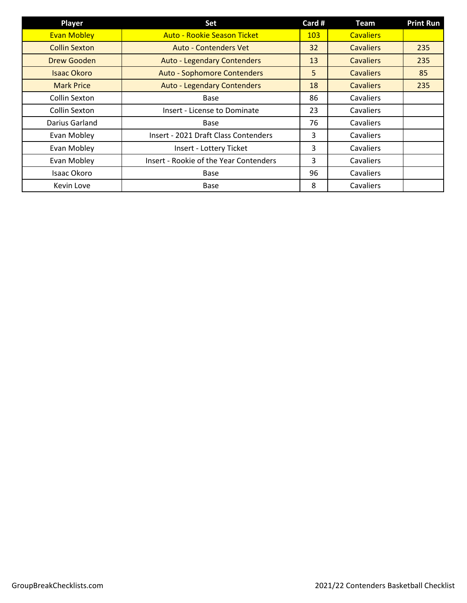| <b>Player</b>        | Set                                         | Card # | <b>Team</b>      | <b>Print Run</b> |
|----------------------|---------------------------------------------|--------|------------------|------------------|
| <b>Evan Mobley</b>   | <b>Auto - Rookie Season Ticket</b>          | 103    | <b>Cavaliers</b> |                  |
| <b>Collin Sexton</b> | <b>Auto - Contenders Vet</b>                | 32     | <b>Cavaliers</b> | 235              |
| Drew Gooden          | <b>Auto - Legendary Contenders</b>          | 13     | <b>Cavaliers</b> | 235              |
| <b>Isaac Okoro</b>   | <b>Auto - Sophomore Contenders</b>          | 5      | <b>Cavaliers</b> | 85               |
| <b>Mark Price</b>    | <b>Auto - Legendary Contenders</b>          | 18     | <b>Cavaliers</b> | 235              |
| <b>Collin Sexton</b> | <b>Base</b>                                 | 86     | Cavaliers        |                  |
| <b>Collin Sexton</b> | <b>Insert - License to Dominate</b>         | 23     | Cavaliers        |                  |
| Darius Garland       | Base                                        | 76     | Cavaliers        |                  |
| Evan Mobley          | <b>Insert - 2021 Draft Class Contenders</b> | 3      | Cavaliers        |                  |
| Evan Mobley          | Insert - Lottery Ticket                     | 3      | Cavaliers        |                  |
| Evan Mobley          | Insert - Rookie of the Year Contenders      | 3      | Cavaliers        |                  |
| Isaac Okoro          | Base                                        | 96     | Cavaliers        |                  |
| Kevin Love           | <b>Base</b>                                 | 8      | Cavaliers        |                  |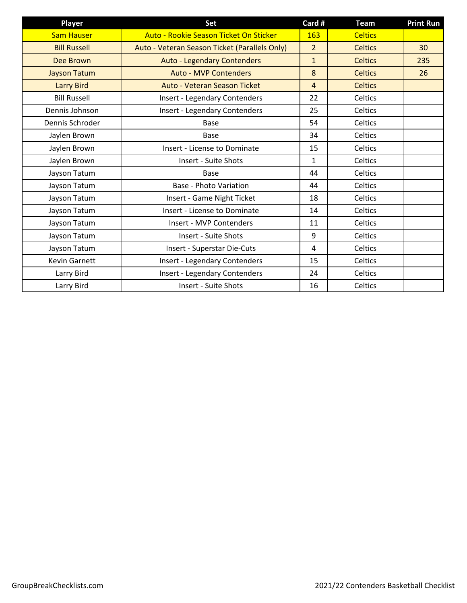| <b>Player</b>        | Set                                           | Card #         | <b>Team</b>    | <b>Print Run</b> |
|----------------------|-----------------------------------------------|----------------|----------------|------------------|
| <b>Sam Hauser</b>    | Auto - Rookie Season Ticket On Sticker        | 163            | <b>Celtics</b> |                  |
| <b>Bill Russell</b>  | Auto - Veteran Season Ticket (Parallels Only) | $\overline{2}$ | <b>Celtics</b> | 30               |
| Dee Brown            | <b>Auto - Legendary Contenders</b>            | $\mathbf{1}$   | <b>Celtics</b> | 235              |
| <b>Jayson Tatum</b>  | <b>Auto - MVP Contenders</b>                  | 8              | <b>Celtics</b> | 26               |
| <b>Larry Bird</b>    | Auto - Veteran Season Ticket                  | $\overline{4}$ | <b>Celtics</b> |                  |
| <b>Bill Russell</b>  | <b>Insert - Legendary Contenders</b>          | 22             | Celtics        |                  |
| Dennis Johnson       | <b>Insert - Legendary Contenders</b>          | 25             | Celtics        |                  |
| Dennis Schroder      | <b>Base</b>                                   | 54             | Celtics        |                  |
| Jaylen Brown         | Base                                          | 34             | Celtics        |                  |
| Jaylen Brown         | <b>Insert - License to Dominate</b>           | 15             | Celtics        |                  |
| Jaylen Brown         | <b>Insert - Suite Shots</b>                   | 1              | Celtics        |                  |
| Jayson Tatum         | <b>Base</b>                                   | 44             | Celtics        |                  |
| Jayson Tatum         | <b>Base - Photo Variation</b>                 | 44             | Celtics        |                  |
| Jayson Tatum         | Insert - Game Night Ticket                    | 18             | Celtics        |                  |
| Jayson Tatum         | <b>Insert - License to Dominate</b>           | 14             | Celtics        |                  |
| Jayson Tatum         | Insert - MVP Contenders                       | 11             | Celtics        |                  |
| Jayson Tatum         | <b>Insert - Suite Shots</b>                   | 9              | Celtics        |                  |
| Jayson Tatum         | Insert - Superstar Die-Cuts                   | 4              | Celtics        |                  |
| <b>Kevin Garnett</b> | <b>Insert - Legendary Contenders</b>          | 15             | Celtics        |                  |
| Larry Bird           | <b>Insert - Legendary Contenders</b>          | 24             | Celtics        |                  |
| Larry Bird           | <b>Insert - Suite Shots</b>                   | 16             | Celtics        |                  |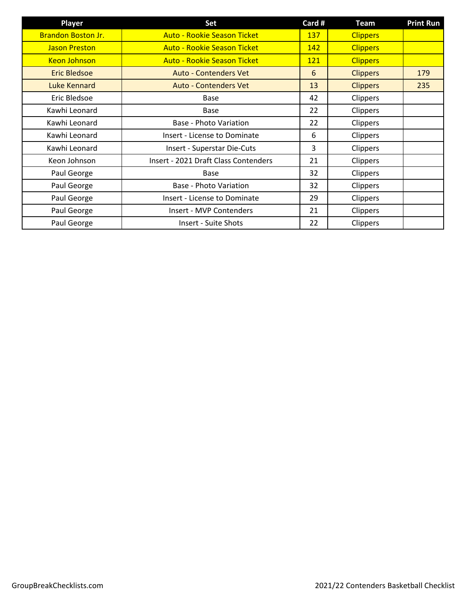| <b>Player</b>             | Set                                         | Card #     | <b>Team</b>     | <b>Print Run</b> |
|---------------------------|---------------------------------------------|------------|-----------------|------------------|
| <b>Brandon Boston Jr.</b> | <b>Auto - Rookie Season Ticket</b>          | 137        | <b>Clippers</b> |                  |
| <b>Jason Preston</b>      | <b>Auto - Rookie Season Ticket</b>          | 142        | <b>Clippers</b> |                  |
| <b>Keon Johnson</b>       | <b>Auto - Rookie Season Ticket</b>          | <b>121</b> | <b>Clippers</b> |                  |
| <b>Eric Bledsoe</b>       | <b>Auto - Contenders Vet</b>                | 6          | <b>Clippers</b> | 179              |
| Luke Kennard              | <b>Auto - Contenders Vet</b>                | 13         | <b>Clippers</b> | 235              |
| Eric Bledsoe              | <b>Base</b>                                 | 42         | Clippers        |                  |
| Kawhi Leonard             | Base                                        | 22         | Clippers        |                  |
| Kawhi Leonard             | Base - Photo Variation                      | 22         | <b>Clippers</b> |                  |
| Kawhi Leonard             | <b>Insert - License to Dominate</b>         | 6          | <b>Clippers</b> |                  |
| Kawhi Leonard             | Insert - Superstar Die-Cuts                 | 3          | Clippers        |                  |
| Keon Johnson              | <b>Insert - 2021 Draft Class Contenders</b> | 21         | Clippers        |                  |
| Paul George               | Base                                        | 32         | Clippers        |                  |
| Paul George               | Base - Photo Variation                      | 32         | Clippers        |                  |
| Paul George               | <b>Insert - License to Dominate</b>         | 29         | Clippers        |                  |
| Paul George               | Insert - MVP Contenders                     | 21         | Clippers        |                  |
| Paul George               | <b>Insert - Suite Shots</b>                 | 22         | <b>Clippers</b> |                  |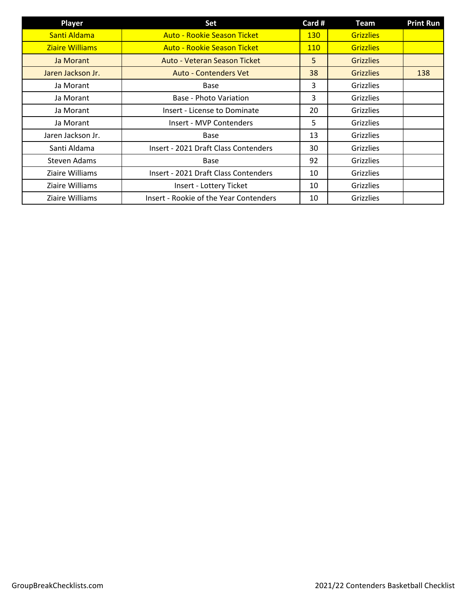| <b>Player</b>          | Set                                    | Card #     | Team             | <b>Print Run</b> |
|------------------------|----------------------------------------|------------|------------------|------------------|
| Santi Aldama           | <b>Auto - Rookie Season Ticket</b>     | <b>130</b> | <b>Grizzlies</b> |                  |
| <b>Ziaire Williams</b> | <b>Auto - Rookie Season Ticket</b>     | <b>110</b> | <b>Grizzlies</b> |                  |
| Ja Morant              | Auto - Veteran Season Ticket           | 5          | <b>Grizzlies</b> |                  |
| Jaren Jackson Jr.      | <b>Auto - Contenders Vet</b>           | 38         | <b>Grizzlies</b> | 138              |
| Ja Morant              | Base                                   | 3          | <b>Grizzlies</b> |                  |
| Ja Morant              | Base - Photo Variation                 | 3          | <b>Grizzlies</b> |                  |
| Ja Morant              | <b>Insert - License to Dominate</b>    | 20         | <b>Grizzlies</b> |                  |
| Ja Morant              | Insert - MVP Contenders                | 5          | Grizzlies        |                  |
| Jaren Jackson Jr.      | Base                                   | 13         | <b>Grizzlies</b> |                  |
| Santi Aldama           | Insert - 2021 Draft Class Contenders   | 30         | <b>Grizzlies</b> |                  |
| Steven Adams           | Base                                   | 92         | Grizzlies        |                  |
| Ziaire Williams        | Insert - 2021 Draft Class Contenders   | 10         | <b>Grizzlies</b> |                  |
| Ziaire Williams        | Insert - Lottery Ticket                | 10         | Grizzlies        |                  |
| Ziaire Williams        | Insert - Rookie of the Year Contenders | 10         | <b>Grizzlies</b> |                  |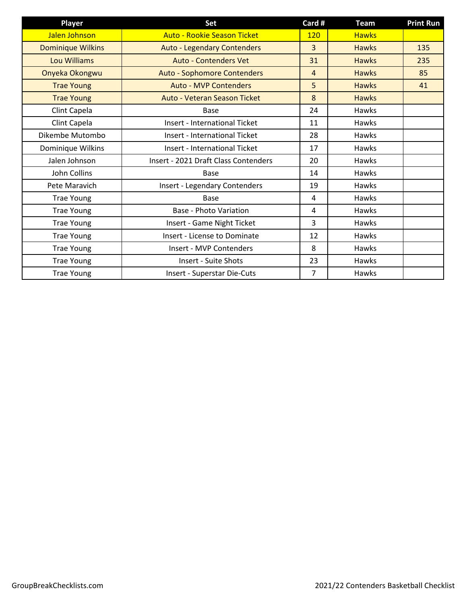| Player                   | Set                                  | Card #         | <b>Team</b>  | <b>Print Run</b> |
|--------------------------|--------------------------------------|----------------|--------------|------------------|
| Jalen Johnson            | <b>Auto - Rookie Season Ticket</b>   | 120            | <b>Hawks</b> |                  |
| <b>Dominique Wilkins</b> | <b>Auto - Legendary Contenders</b>   | 3              | <b>Hawks</b> | 135              |
| <b>Lou Williams</b>      | <b>Auto - Contenders Vet</b>         | 31             | <b>Hawks</b> | 235              |
| Onyeka Okongwu           | <b>Auto - Sophomore Contenders</b>   | $\overline{4}$ | <b>Hawks</b> | 85               |
| <b>Trae Young</b>        | <b>Auto - MVP Contenders</b>         | 5              | <b>Hawks</b> | 41               |
| <b>Trae Young</b>        | Auto - Veteran Season Ticket         | 8              | <b>Hawks</b> |                  |
| Clint Capela             | <b>Base</b>                          | 24             | Hawks        |                  |
| Clint Capela             | Insert - International Ticket        | 11             | <b>Hawks</b> |                  |
| Dikembe Mutombo          | <b>Insert - International Ticket</b> | 28             | Hawks        |                  |
| Dominique Wilkins        | <b>Insert - International Ticket</b> | 17             | <b>Hawks</b> |                  |
| Jalen Johnson            | Insert - 2021 Draft Class Contenders | 20             | Hawks        |                  |
| John Collins             | Base                                 | 14             | Hawks        |                  |
| Pete Maravich            | <b>Insert - Legendary Contenders</b> | 19             | Hawks        |                  |
| <b>Trae Young</b>        | <b>Base</b>                          | 4              | Hawks        |                  |
| <b>Trae Young</b>        | Base - Photo Variation               | 4              | Hawks        |                  |
| <b>Trae Young</b>        | Insert - Game Night Ticket           | 3              | Hawks        |                  |
| <b>Trae Young</b>        | Insert - License to Dominate         | 12             | Hawks        |                  |
| <b>Trae Young</b>        | Insert - MVP Contenders              | 8              | Hawks        |                  |
| <b>Trae Young</b>        | Insert - Suite Shots                 | 23             | Hawks        |                  |
| <b>Trae Young</b>        | Insert - Superstar Die-Cuts          | 7              | Hawks        |                  |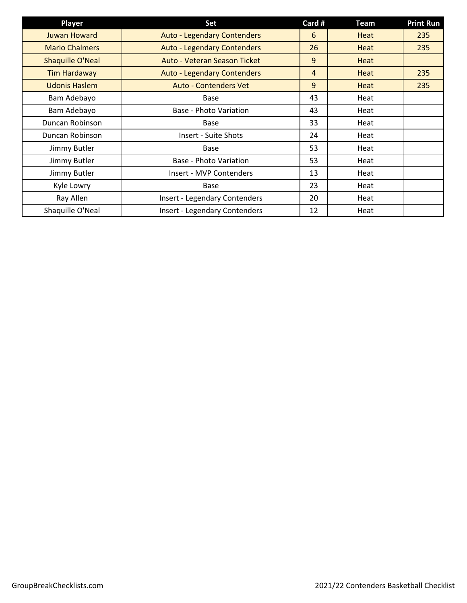| <b>Player</b>           | Set                                  | Card #         | Team        | <b>Print Run</b> |
|-------------------------|--------------------------------------|----------------|-------------|------------------|
| <b>Juwan Howard</b>     | <b>Auto - Legendary Contenders</b>   | 6              | Heat        | 235              |
| <b>Mario Chalmers</b>   | <b>Auto - Legendary Contenders</b>   | 26             | Heat        | 235              |
| <b>Shaquille O'Neal</b> | Auto - Veteran Season Ticket         | 9              | Heat        |                  |
| <b>Tim Hardaway</b>     | <b>Auto - Legendary Contenders</b>   | $\overline{4}$ | <b>Heat</b> | 235              |
| <b>Udonis Haslem</b>    | <b>Auto - Contenders Vet</b>         | 9              | Heat        | 235              |
| Bam Adebayo             | Base                                 | 43             | Heat        |                  |
| Bam Adebayo             | <b>Base - Photo Variation</b>        | 43             | Heat        |                  |
| Duncan Robinson         | Base                                 | 33             | Heat        |                  |
| Duncan Robinson         | <b>Insert - Suite Shots</b>          | 24             | Heat        |                  |
| Jimmy Butler            | Base                                 | 53             | Heat        |                  |
| Jimmy Butler            | Base - Photo Variation               | 53             | Heat        |                  |
| Jimmy Butler            | Insert - MVP Contenders              | 13             | Heat        |                  |
| Kyle Lowry              | <b>Base</b>                          | 23             | Heat        |                  |
| Ray Allen               | Insert - Legendary Contenders        | 20             | Heat        |                  |
| Shaquille O'Neal        | <b>Insert - Legendary Contenders</b> | 12             | Heat        |                  |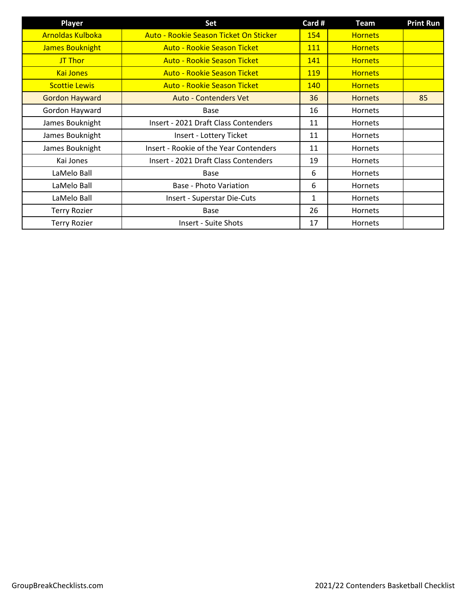| <b>Player</b>           | Set                                    | Card #     | <b>Team</b>    | <b>Print Run</b> |
|-------------------------|----------------------------------------|------------|----------------|------------------|
| <b>Arnoldas Kulboka</b> | Auto - Rookie Season Ticket On Sticker | 154        | <b>Hornets</b> |                  |
| <b>James Bouknight</b>  | <b>Auto - Rookie Season Ticket</b>     | <b>111</b> | <b>Hornets</b> |                  |
| <b>JT Thor</b>          | <b>Auto - Rookie Season Ticket</b>     | 141        | <b>Hornets</b> |                  |
| <b>Kai Jones</b>        | <b>Auto - Rookie Season Ticket</b>     | <b>119</b> | <b>Hornets</b> |                  |
| <b>Scottie Lewis</b>    | <b>Auto - Rookie Season Ticket</b>     | 140        | <b>Hornets</b> |                  |
| <b>Gordon Hayward</b>   | <b>Auto - Contenders Vet</b>           | 36         | <b>Hornets</b> | 85               |
| Gordon Hayward          | Base                                   | 16         | <b>Hornets</b> |                  |
| James Bouknight         | Insert - 2021 Draft Class Contenders   | 11         | <b>Hornets</b> |                  |
| James Bouknight         | Insert - Lottery Ticket                | 11         | <b>Hornets</b> |                  |
| James Bouknight         | Insert - Rookie of the Year Contenders | 11         | <b>Hornets</b> |                  |
| Kai Jones               | Insert - 2021 Draft Class Contenders   | 19         | Hornets        |                  |
| LaMelo Ball             | <b>Base</b>                            | 6          | <b>Hornets</b> |                  |
| LaMelo Ball             | Base - Photo Variation                 | 6          | <b>Hornets</b> |                  |
| LaMelo Ball             | <b>Insert - Superstar Die-Cuts</b>     | 1          | <b>Hornets</b> |                  |
| <b>Terry Rozier</b>     | Base                                   | 26         | <b>Hornets</b> |                  |
| <b>Terry Rozier</b>     | <b>Insert - Suite Shots</b>            | 17         | <b>Hornets</b> |                  |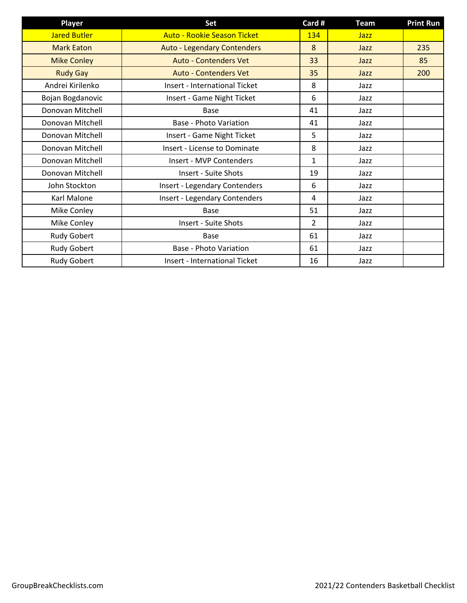| Player              | Set                                  | Card #        | Team        | <b>Print Run</b> |
|---------------------|--------------------------------------|---------------|-------------|------------------|
| <b>Jared Butler</b> | <b>Auto - Rookie Season Ticket</b>   | 134           | <b>Jazz</b> |                  |
| <b>Mark Eaton</b>   | <b>Auto - Legendary Contenders</b>   | 8             | Jazz        | 235              |
| <b>Mike Conley</b>  | <b>Auto - Contenders Vet</b>         | 33            | Jazz        | 85               |
| <b>Rudy Gay</b>     | <b>Auto - Contenders Vet</b>         | 35            | Jazz        | 200              |
| Andrei Kirilenko    | <b>Insert - International Ticket</b> | 8             | Jazz        |                  |
| Bojan Bogdanovic    | Insert - Game Night Ticket           | 6             | Jazz        |                  |
| Donovan Mitchell    | Base                                 | 41            | Jazz        |                  |
| Donovan Mitchell    | <b>Base - Photo Variation</b>        | 41            | Jazz        |                  |
| Donovan Mitchell    | Insert - Game Night Ticket           | 5             | Jazz        |                  |
| Donovan Mitchell    | <b>Insert - License to Dominate</b>  | 8             | Jazz        |                  |
| Donovan Mitchell    | Insert - MVP Contenders              | $\mathbf{1}$  | Jazz        |                  |
| Donovan Mitchell    | <b>Insert - Suite Shots</b>          | 19            | Jazz        |                  |
| John Stockton       | <b>Insert - Legendary Contenders</b> | 6             | Jazz        |                  |
| Karl Malone         | Insert - Legendary Contenders        | 4             | Jazz        |                  |
| Mike Conley         | <b>Base</b>                          | 51            | Jazz        |                  |
| Mike Conley         | <b>Insert - Suite Shots</b>          | $\mathcal{P}$ | Jazz        |                  |
| Rudy Gobert         | <b>Base</b>                          | 61            | Jazz        |                  |
| <b>Rudy Gobert</b>  | Base - Photo Variation               | 61            | Jazz        |                  |
| <b>Rudy Gobert</b>  | <b>Insert - International Ticket</b> | 16            | Jazz        |                  |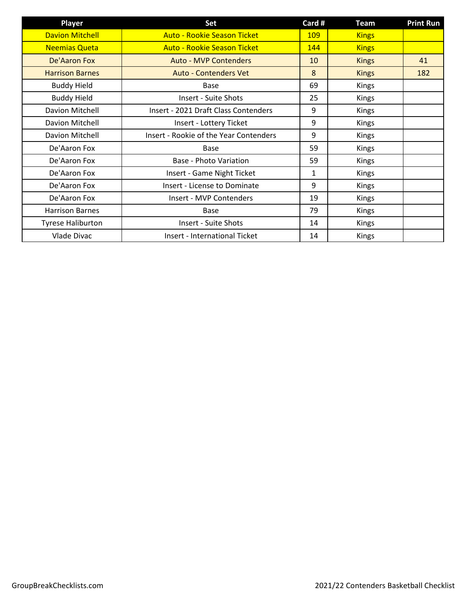| <b>Player</b>            | Set                                    | Card #     | <b>Team</b>  | <b>Print Run</b> |
|--------------------------|----------------------------------------|------------|--------------|------------------|
| <b>Davion Mitchell</b>   | <b>Auto - Rookie Season Ticket</b>     | <b>109</b> | <b>Kings</b> |                  |
| <b>Neemias Queta</b>     | <b>Auto - Rookie Season Ticket</b>     | 144        | <b>Kings</b> |                  |
| De'Aaron Fox             | <b>Auto - MVP Contenders</b>           | 10         | <b>Kings</b> | 41               |
| <b>Harrison Barnes</b>   | <b>Auto - Contenders Vet</b>           | 8          | <b>Kings</b> | 182              |
| <b>Buddy Hield</b>       | Base                                   | 69         | Kings        |                  |
| <b>Buddy Hield</b>       | <b>Insert - Suite Shots</b>            | 25         | Kings        |                  |
| Davion Mitchell          | Insert - 2021 Draft Class Contenders   | 9          | Kings        |                  |
| Davion Mitchell          | Insert - Lottery Ticket                | 9          | Kings        |                  |
| Davion Mitchell          | Insert - Rookie of the Year Contenders | 9          | Kings        |                  |
| De'Aaron Fox             | Base                                   | 59         | Kings        |                  |
| De'Aaron Fox             | Base - Photo Variation                 | 59         | Kings        |                  |
| De'Aaron Fox             | Insert - Game Night Ticket             | 1          | Kings        |                  |
| De'Aaron Fox             | <b>Insert - License to Dominate</b>    | 9          | Kings        |                  |
| De'Aaron Fox             | Insert - MVP Contenders                | 19         | Kings        |                  |
| <b>Harrison Barnes</b>   | <b>Base</b>                            | 79         | Kings        |                  |
| <b>Tyrese Haliburton</b> | <b>Insert - Suite Shots</b>            | 14         | Kings        |                  |
| Vlade Divac              | Insert - International Ticket          | 14         | Kings        |                  |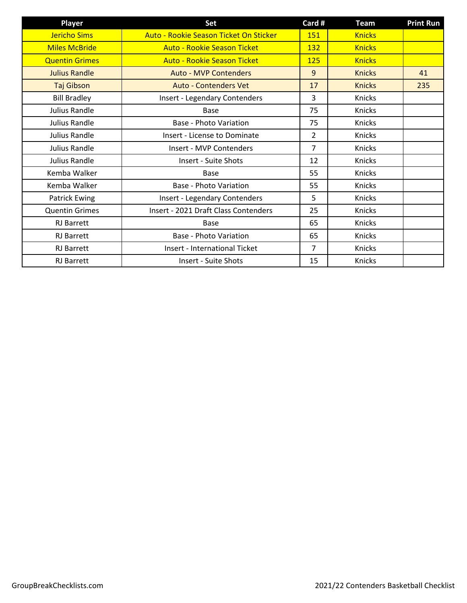| <b>Player</b>         | Set                                    | Card #         | <b>Team</b>   | <b>Print Run</b> |
|-----------------------|----------------------------------------|----------------|---------------|------------------|
| <b>Jericho Sims</b>   | Auto - Rookie Season Ticket On Sticker | 151            | <b>Knicks</b> |                  |
| <b>Miles McBride</b>  | <b>Auto - Rookie Season Ticket</b>     | <b>132</b>     | <b>Knicks</b> |                  |
| <b>Quentin Grimes</b> | <b>Auto - Rookie Season Ticket</b>     | 125            | <b>Knicks</b> |                  |
| <b>Julius Randle</b>  | <b>Auto - MVP Contenders</b>           | 9              | <b>Knicks</b> | 41               |
| Taj Gibson            | <b>Auto - Contenders Vet</b>           | 17             | <b>Knicks</b> | 235              |
| <b>Bill Bradley</b>   | <b>Insert - Legendary Contenders</b>   | 3              | Knicks        |                  |
| Julius Randle         | Base                                   | 75             | Knicks        |                  |
| Julius Randle         | <b>Base - Photo Variation</b>          | 75             | Knicks        |                  |
| Julius Randle         | Insert - License to Dominate           | $\overline{2}$ | Knicks        |                  |
| Julius Randle         | Insert - MVP Contenders                | 7              | Knicks        |                  |
| Julius Randle         | <b>Insert - Suite Shots</b>            | 12             | Knicks        |                  |
| Kemba Walker          | Base                                   | 55             | Knicks        |                  |
| Kemba Walker          | <b>Base - Photo Variation</b>          | 55             | Knicks        |                  |
| <b>Patrick Ewing</b>  | Insert - Legendary Contenders          | 5              | Knicks        |                  |
| <b>Quentin Grimes</b> | Insert - 2021 Draft Class Contenders   | 25             | Knicks        |                  |
| <b>RJ</b> Barrett     | Base                                   | 65             | Knicks        |                  |
| <b>RJ</b> Barrett     | Base - Photo Variation                 | 65             | Knicks        |                  |
| <b>RJ</b> Barrett     | <b>Insert - International Ticket</b>   | $\overline{7}$ | Knicks        |                  |
| <b>RJ Barrett</b>     | <b>Insert - Suite Shots</b>            | 15             | Knicks        |                  |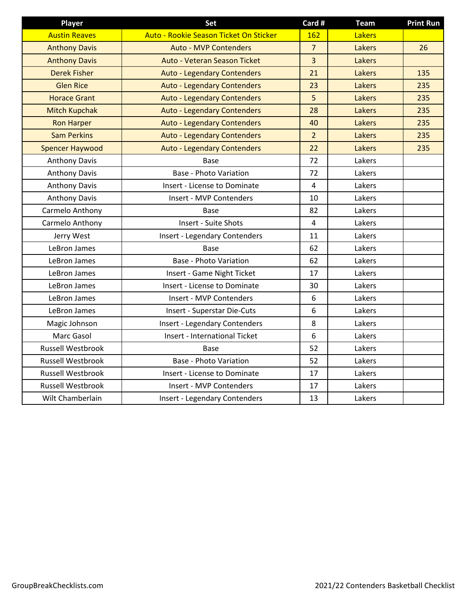| <b>Player</b>            | Set                                    | Card #         | <b>Team</b>   | <b>Print Run</b> |
|--------------------------|----------------------------------------|----------------|---------------|------------------|
| <b>Austin Reaves</b>     | Auto - Rookie Season Ticket On Sticker | 162            | <b>Lakers</b> |                  |
| <b>Anthony Davis</b>     | <b>Auto - MVP Contenders</b>           | $\overline{7}$ | Lakers        | 26               |
| <b>Anthony Davis</b>     | Auto - Veteran Season Ticket           | $\overline{3}$ | Lakers        |                  |
| <b>Derek Fisher</b>      | <b>Auto - Legendary Contenders</b>     | 21             | <b>Lakers</b> | 135              |
| <b>Glen Rice</b>         | <b>Auto - Legendary Contenders</b>     | 23             | Lakers        | 235              |
| <b>Horace Grant</b>      | <b>Auto - Legendary Contenders</b>     | 5              | Lakers        | 235              |
| <b>Mitch Kupchak</b>     | <b>Auto - Legendary Contenders</b>     | 28             | <b>Lakers</b> | 235              |
| <b>Ron Harper</b>        | <b>Auto - Legendary Contenders</b>     | 40             | Lakers        | 235              |
| <b>Sam Perkins</b>       | <b>Auto - Legendary Contenders</b>     | $\overline{2}$ | Lakers        | 235              |
| <b>Spencer Haywood</b>   | <b>Auto - Legendary Contenders</b>     | 22             | Lakers        | 235              |
| <b>Anthony Davis</b>     | Base                                   | 72             | Lakers        |                  |
| <b>Anthony Davis</b>     | <b>Base - Photo Variation</b>          | 72             | Lakers        |                  |
| <b>Anthony Davis</b>     | Insert - License to Dominate           | $\overline{4}$ | Lakers        |                  |
| <b>Anthony Davis</b>     | Insert - MVP Contenders                | 10             | Lakers        |                  |
| Carmelo Anthony          | Base                                   | 82             | Lakers        |                  |
| Carmelo Anthony          | Insert - Suite Shots                   | 4              | Lakers        |                  |
| Jerry West               | <b>Insert - Legendary Contenders</b>   | 11             | Lakers        |                  |
| LeBron James             | Base                                   | 62             | Lakers        |                  |
| LeBron James             | <b>Base - Photo Variation</b>          | 62             | Lakers        |                  |
| LeBron James             | Insert - Game Night Ticket             | 17             | Lakers        |                  |
| LeBron James             | Insert - License to Dominate           | 30             | Lakers        |                  |
| LeBron James             | Insert - MVP Contenders                | 6              | Lakers        |                  |
| LeBron James             | Insert - Superstar Die-Cuts            | 6              | Lakers        |                  |
| Magic Johnson            | <b>Insert - Legendary Contenders</b>   | 8              | Lakers        |                  |
| Marc Gasol               | <b>Insert - International Ticket</b>   | 6              | Lakers        |                  |
| Russell Westbrook        | Base                                   | 52             | Lakers        |                  |
| <b>Russell Westbrook</b> | <b>Base - Photo Variation</b>          | 52             | Lakers        |                  |
| <b>Russell Westbrook</b> | Insert - License to Dominate           | 17             | Lakers        |                  |
| Russell Westbrook        | Insert - MVP Contenders                | 17             | Lakers        |                  |
| Wilt Chamberlain         | <b>Insert - Legendary Contenders</b>   | 13             | Lakers        |                  |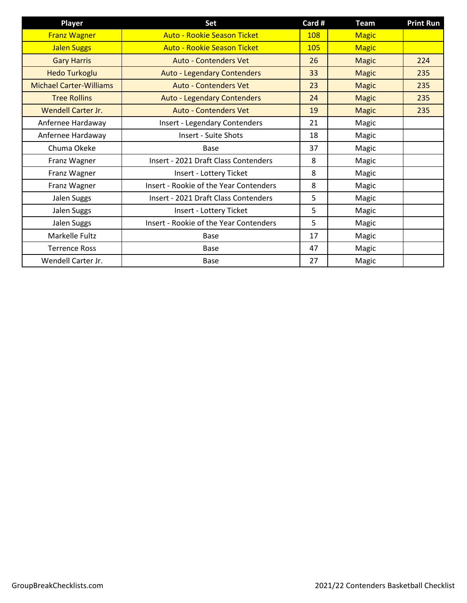| <b>Player</b>                  | Set                                    | Card # | <b>Team</b>  | <b>Print Run</b> |
|--------------------------------|----------------------------------------|--------|--------------|------------------|
| <b>Franz Wagner</b>            | <b>Auto - Rookie Season Ticket</b>     | 108    | <b>Magic</b> |                  |
| <b>Jalen Suggs</b>             | <b>Auto - Rookie Season Ticket</b>     | 105    | <b>Magic</b> |                  |
| <b>Gary Harris</b>             | <b>Auto - Contenders Vet</b>           | 26     | <b>Magic</b> | 224              |
| <b>Hedo Turkoglu</b>           | <b>Auto - Legendary Contenders</b>     | 33     | <b>Magic</b> | 235              |
| <b>Michael Carter-Williams</b> | <b>Auto - Contenders Vet</b>           | 23     | <b>Magic</b> | 235              |
| <b>Tree Rollins</b>            | <b>Auto - Legendary Contenders</b>     | 24     | <b>Magic</b> | 235              |
| <b>Wendell Carter Jr.</b>      | <b>Auto - Contenders Vet</b>           | 19     | <b>Magic</b> | 235              |
| Anfernee Hardaway              | <b>Insert - Legendary Contenders</b>   | 21     | Magic        |                  |
| Anfernee Hardaway              | <b>Insert - Suite Shots</b>            | 18     | Magic        |                  |
| Chuma Okeke                    | <b>Base</b>                            | 37     | Magic        |                  |
| Franz Wagner                   | Insert - 2021 Draft Class Contenders   | 8      | Magic        |                  |
| Franz Wagner                   | Insert - Lottery Ticket                | 8      | Magic        |                  |
| Franz Wagner                   | Insert - Rookie of the Year Contenders | 8      | Magic        |                  |
| Jalen Suggs                    | Insert - 2021 Draft Class Contenders   | 5      | Magic        |                  |
| Jalen Suggs                    | Insert - Lottery Ticket                | 5      | Magic        |                  |
| Jalen Suggs                    | Insert - Rookie of the Year Contenders | 5      | Magic        |                  |
| Markelle Fultz                 | <b>Base</b>                            | 17     | Magic        |                  |
| <b>Terrence Ross</b>           | Base                                   | 47     | Magic        |                  |
| Wendell Carter Jr.             | Base                                   | 27     | Magic        |                  |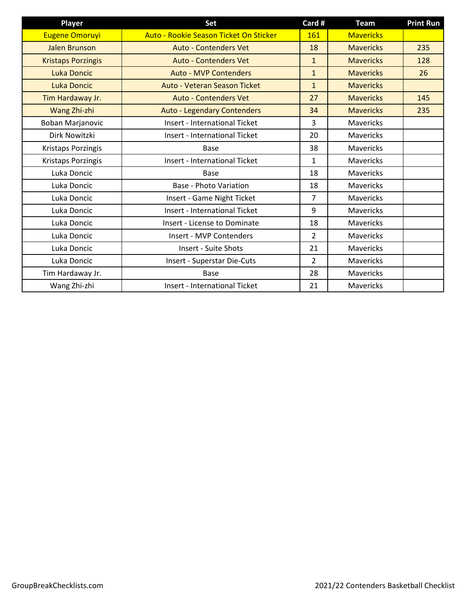| <b>Player</b>             | Set                                    | Card #         | <b>Team</b>      | <b>Print Run</b> |
|---------------------------|----------------------------------------|----------------|------------------|------------------|
| <b>Eugene Omoruyi</b>     | Auto - Rookie Season Ticket On Sticker | 161            | <b>Mavericks</b> |                  |
| <b>Jalen Brunson</b>      | <b>Auto - Contenders Vet</b>           | 18             | <b>Mavericks</b> | 235              |
| <b>Kristaps Porzingis</b> | <b>Auto - Contenders Vet</b>           | $\mathbf{1}$   | <b>Mavericks</b> | 128              |
| <b>Luka Doncic</b>        | <b>Auto - MVP Contenders</b>           | $\mathbf{1}$   | <b>Mavericks</b> | 26               |
| <b>Luka Doncic</b>        | Auto - Veteran Season Ticket           | $\mathbf{1}$   | <b>Mavericks</b> |                  |
| Tim Hardaway Jr.          | <b>Auto - Contenders Vet</b>           | 27             | <b>Mavericks</b> | 145              |
| Wang Zhi-zhi              | <b>Auto - Legendary Contenders</b>     | 34             | <b>Mavericks</b> | 235              |
| Boban Marjanovic          | <b>Insert - International Ticket</b>   | 3              | <b>Mavericks</b> |                  |
| Dirk Nowitzki             | <b>Insert - International Ticket</b>   | 20             | Mavericks        |                  |
| Kristaps Porzingis        | <b>Base</b>                            | 38             | Mavericks        |                  |
| Kristaps Porzingis        | <b>Insert - International Ticket</b>   | $\mathbf{1}$   | Mavericks        |                  |
| Luka Doncic               | <b>Base</b>                            | 18             | <b>Mavericks</b> |                  |
| Luka Doncic               | <b>Base - Photo Variation</b>          | 18             | <b>Mavericks</b> |                  |
| Luka Doncic               | Insert - Game Night Ticket             | $\overline{7}$ | Mavericks        |                  |
| Luka Doncic               | <b>Insert - International Ticket</b>   | 9              | <b>Mavericks</b> |                  |
| Luka Doncic               | Insert - License to Dominate           | 18             | <b>Mavericks</b> |                  |
| Luka Doncic               | Insert - MVP Contenders                | $\mathcal{P}$  | <b>Mavericks</b> |                  |
| Luka Doncic               | <b>Insert - Suite Shots</b>            | 21             | Mavericks        |                  |
| Luka Doncic               | Insert - Superstar Die-Cuts            | $\overline{2}$ | Mavericks        |                  |
| Tim Hardaway Jr.          | Base                                   | 28             | Mavericks        |                  |
| Wang Zhi-zhi              | <b>Insert - International Ticket</b>   | 21             | <b>Mavericks</b> |                  |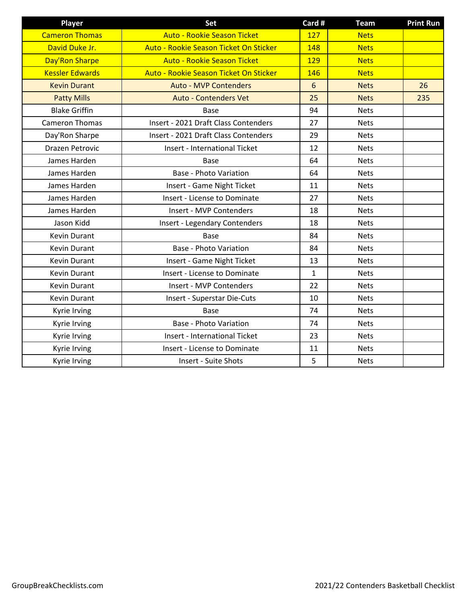| <b>Player</b>          | Set                                    | Card #       | <b>Team</b> | <b>Print Run</b> |
|------------------------|----------------------------------------|--------------|-------------|------------------|
| <b>Cameron Thomas</b>  | <b>Auto - Rookie Season Ticket</b>     | 127          | <b>Nets</b> |                  |
| David Duke Jr.         | Auto - Rookie Season Ticket On Sticker | 148          | <b>Nets</b> |                  |
| Day'Ron Sharpe         | <b>Auto - Rookie Season Ticket</b>     | 129          | <b>Nets</b> |                  |
| <b>Kessler Edwards</b> | Auto - Rookie Season Ticket On Sticker | 146          | <b>Nets</b> |                  |
| <b>Kevin Durant</b>    | <b>Auto - MVP Contenders</b>           | 6            | <b>Nets</b> | 26               |
| <b>Patty Mills</b>     | <b>Auto - Contenders Vet</b>           | 25           | <b>Nets</b> | 235              |
| <b>Blake Griffin</b>   | <b>Base</b>                            | 94           | <b>Nets</b> |                  |
| <b>Cameron Thomas</b>  | Insert - 2021 Draft Class Contenders   | 27           | <b>Nets</b> |                  |
| Day'Ron Sharpe         | Insert - 2021 Draft Class Contenders   | 29           | <b>Nets</b> |                  |
| <b>Drazen Petrovic</b> | <b>Insert - International Ticket</b>   | 12           | <b>Nets</b> |                  |
| James Harden           | <b>Base</b>                            | 64           | <b>Nets</b> |                  |
| James Harden           | <b>Base - Photo Variation</b>          | 64           | <b>Nets</b> |                  |
| James Harden           | Insert - Game Night Ticket             | 11           | <b>Nets</b> |                  |
| James Harden           | <b>Insert - License to Dominate</b>    | 27           | <b>Nets</b> |                  |
| James Harden           | Insert - MVP Contenders                | 18           | <b>Nets</b> |                  |
| Jason Kidd             | <b>Insert - Legendary Contenders</b>   | 18           | <b>Nets</b> |                  |
| <b>Kevin Durant</b>    | <b>Base</b>                            | 84           | <b>Nets</b> |                  |
| <b>Kevin Durant</b>    | <b>Base - Photo Variation</b>          | 84           | <b>Nets</b> |                  |
| Kevin Durant           | Insert - Game Night Ticket             | 13           | <b>Nets</b> |                  |
| <b>Kevin Durant</b>    | <b>Insert - License to Dominate</b>    | $\mathbf{1}$ | <b>Nets</b> |                  |
| <b>Kevin Durant</b>    | Insert - MVP Contenders                | 22           | <b>Nets</b> |                  |
| <b>Kevin Durant</b>    | Insert - Superstar Die-Cuts            | 10           | <b>Nets</b> |                  |
| Kyrie Irving           | Base                                   | 74           | <b>Nets</b> |                  |
| Kyrie Irving           | <b>Base - Photo Variation</b>          | 74           | <b>Nets</b> |                  |
| Kyrie Irving           | <b>Insert - International Ticket</b>   | 23           | <b>Nets</b> |                  |
| Kyrie Irving           | <b>Insert - License to Dominate</b>    | 11           | <b>Nets</b> |                  |
| Kyrie Irving           | <b>Insert - Suite Shots</b>            | 5            | <b>Nets</b> |                  |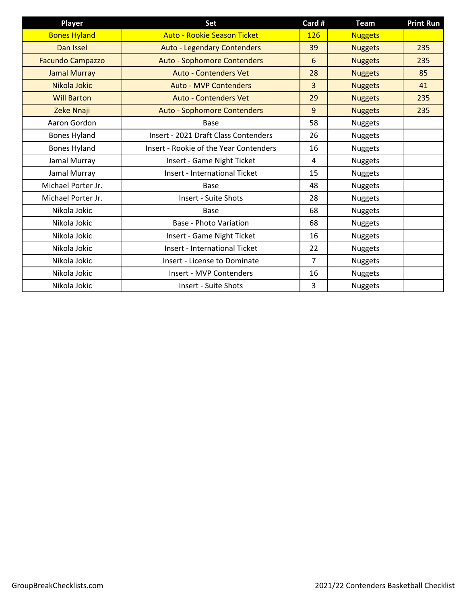| <b>Player</b>           | Set                                           | Card #         | <b>Team</b>    | <b>Print Run</b> |
|-------------------------|-----------------------------------------------|----------------|----------------|------------------|
| <b>Bones Hyland</b>     | <b>Auto - Rookie Season Ticket</b>            | <b>126</b>     | <b>Nuggets</b> |                  |
| Dan Issel               | <b>Auto - Legendary Contenders</b>            | 39             | <b>Nuggets</b> | 235              |
| <b>Facundo Campazzo</b> | <b>Auto - Sophomore Contenders</b>            | 6              | <b>Nuggets</b> | 235              |
| <b>Jamal Murray</b>     | <b>Auto - Contenders Vet</b>                  | 28             | <b>Nuggets</b> | 85               |
| Nikola Jokic            | <b>Auto - MVP Contenders</b>                  | 3              | <b>Nuggets</b> | 41               |
| <b>Will Barton</b>      | <b>Auto - Contenders Vet</b>                  | 29             | <b>Nuggets</b> | 235              |
| Zeke Nnaji              | <b>Auto - Sophomore Contenders</b>            | 9              | <b>Nuggets</b> | 235              |
| Aaron Gordon            | Base                                          | 58             | Nuggets        |                  |
| <b>Bones Hyland</b>     | Insert - 2021 Draft Class Contenders          | 26             | Nuggets        |                  |
| <b>Bones Hyland</b>     | <b>Insert - Rookie of the Year Contenders</b> | 16             | Nuggets        |                  |
| Jamal Murray            | Insert - Game Night Ticket                    | 4              | Nuggets        |                  |
| Jamal Murray            | <b>Insert - International Ticket</b>          | 15             | <b>Nuggets</b> |                  |
| Michael Porter Jr.      | <b>Base</b>                                   | 48             | Nuggets        |                  |
| Michael Porter Jr.      | Insert - Suite Shots                          | 28             | Nuggets        |                  |
| Nikola Jokic            | Base                                          | 68             | Nuggets        |                  |
| Nikola Jokic            | <b>Base - Photo Variation</b>                 | 68             | Nuggets        |                  |
| Nikola Jokic            | Insert - Game Night Ticket                    | 16             | Nuggets        |                  |
| Nikola Jokic            | <b>Insert - International Ticket</b>          | 22             | <b>Nuggets</b> |                  |
| Nikola Jokic            | Insert - License to Dominate                  | $\overline{7}$ | Nuggets        |                  |
| Nikola Jokic            | Insert - MVP Contenders                       | 16             | Nuggets        |                  |
| Nikola Jokic            | <b>Insert - Suite Shots</b>                   | 3              | Nuggets        |                  |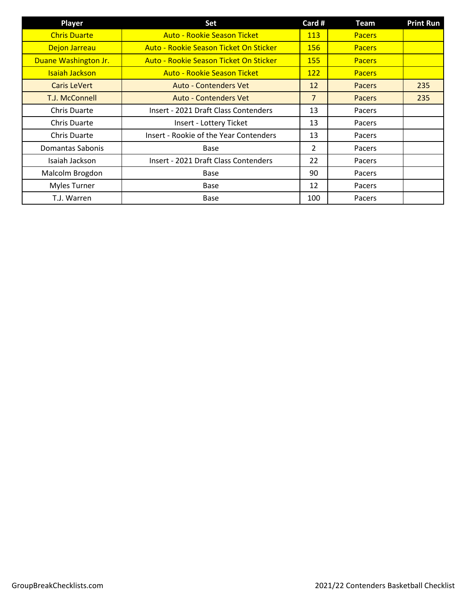| <b>Player</b>         | Set                                    | Card #         | Team          | <b>Print Run</b> |
|-----------------------|----------------------------------------|----------------|---------------|------------------|
| <b>Chris Duarte</b>   | <b>Auto - Rookie Season Ticket</b>     | <b>113</b>     | <b>Pacers</b> |                  |
| Dejon Jarreau         | Auto - Rookie Season Ticket On Sticker | 156            | <b>Pacers</b> |                  |
| Duane Washington Jr.  | Auto - Rookie Season Ticket On Sticker | <b>155</b>     | <b>Pacers</b> |                  |
| <b>Isaiah Jackson</b> | <b>Auto - Rookie Season Ticket</b>     | 122            | <b>Pacers</b> |                  |
| <b>Caris LeVert</b>   | <b>Auto - Contenders Vet</b>           | 12             | <b>Pacers</b> | 235              |
| T.J. McConnell        | <b>Auto - Contenders Vet</b>           | $\overline{7}$ | <b>Pacers</b> | 235              |
| <b>Chris Duarte</b>   | Insert - 2021 Draft Class Contenders   | 13             | Pacers        |                  |
| <b>Chris Duarte</b>   | Insert - Lottery Ticket                | 13             | Pacers        |                  |
| <b>Chris Duarte</b>   | Insert - Rookie of the Year Contenders | 13             | Pacers        |                  |
| Domantas Sabonis      | <b>Base</b>                            | $\overline{2}$ | Pacers        |                  |
| Isaiah Jackson        | Insert - 2021 Draft Class Contenders   | 22             | Pacers        |                  |
| Malcolm Brogdon       | <b>Base</b>                            | 90             | Pacers        |                  |
| <b>Myles Turner</b>   | Base                                   | 12             | Pacers        |                  |
| T.J. Warren           | Base                                   | 100            | Pacers        |                  |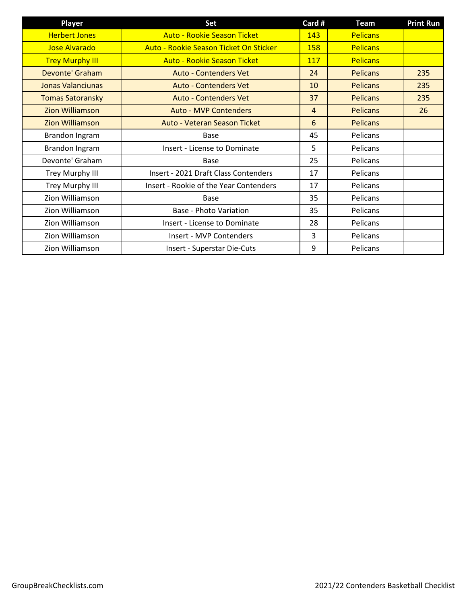| <b>Player</b>            | Set                                    | Card # | Team            | <b>Print Run</b> |
|--------------------------|----------------------------------------|--------|-----------------|------------------|
| <b>Herbert Jones</b>     | <b>Auto - Rookie Season Ticket</b>     | 143    | <b>Pelicans</b> |                  |
| <b>Jose Alvarado</b>     | Auto - Rookie Season Ticket On Sticker | 158    | <b>Pelicans</b> |                  |
| <b>Trey Murphy III</b>   | <b>Auto - Rookie Season Ticket</b>     | 117    | <b>Pelicans</b> |                  |
| Devonte' Graham          | <b>Auto - Contenders Vet</b>           | 24     | <b>Pelicans</b> | 235              |
| <b>Jonas Valanciunas</b> | <b>Auto - Contenders Vet</b>           | 10     | <b>Pelicans</b> | 235              |
| <b>Tomas Satoransky</b>  | <b>Auto - Contenders Vet</b>           | 37     | <b>Pelicans</b> | 235              |
| <b>Zion Williamson</b>   | <b>Auto - MVP Contenders</b>           | 4      | <b>Pelicans</b> | 26               |
| <b>Zion Williamson</b>   | Auto - Veteran Season Ticket           | 6      | <b>Pelicans</b> |                  |
| Brandon Ingram           | Base                                   | 45     | Pelicans        |                  |
| Brandon Ingram           | <b>Insert - License to Dominate</b>    | 5      | Pelicans        |                  |
| Devonte' Graham          | Base                                   | 25     | Pelicans        |                  |
| Trey Murphy III          | Insert - 2021 Draft Class Contenders   | 17     | Pelicans        |                  |
| Trey Murphy III          | Insert - Rookie of the Year Contenders | 17     | Pelicans        |                  |
| Zion Williamson          | Base                                   | 35     | Pelicans        |                  |
| Zion Williamson          | Base - Photo Variation                 | 35     | Pelicans        |                  |
| Zion Williamson          | <b>Insert - License to Dominate</b>    | 28     | Pelicans        |                  |
| Zion Williamson          | Insert - MVP Contenders                | 3      | Pelicans        |                  |
| Zion Williamson          | Insert - Superstar Die-Cuts            | 9      | Pelicans        |                  |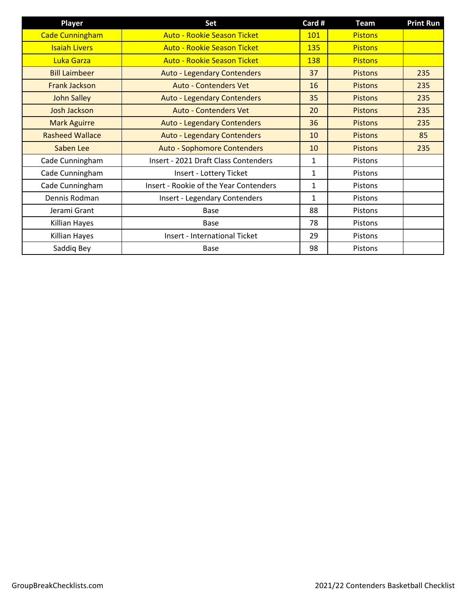| <b>Player</b>          | Set                                    | Card #       | <b>Team</b>    | <b>Print Run</b> |
|------------------------|----------------------------------------|--------------|----------------|------------------|
| <b>Cade Cunningham</b> | <b>Auto - Rookie Season Ticket</b>     | 101          | <b>Pistons</b> |                  |
| <b>Isaiah Livers</b>   | <b>Auto - Rookie Season Ticket</b>     | 135          | <b>Pistons</b> |                  |
| Luka Garza             | <b>Auto - Rookie Season Ticket</b>     | 138          | <b>Pistons</b> |                  |
| <b>Bill Laimbeer</b>   | <b>Auto - Legendary Contenders</b>     | 37           | <b>Pistons</b> | 235              |
| <b>Frank Jackson</b>   | <b>Auto - Contenders Vet</b>           | 16           | <b>Pistons</b> | 235              |
| <b>John Salley</b>     | <b>Auto - Legendary Contenders</b>     | 35           | <b>Pistons</b> | 235              |
| <b>Josh Jackson</b>    | <b>Auto - Contenders Vet</b>           | 20           | <b>Pistons</b> | 235              |
| <b>Mark Aguirre</b>    | <b>Auto - Legendary Contenders</b>     | 36           | <b>Pistons</b> | 235              |
| <b>Rasheed Wallace</b> | <b>Auto - Legendary Contenders</b>     | 10           | <b>Pistons</b> | 85               |
| Saben Lee              | <b>Auto - Sophomore Contenders</b>     | 10           | <b>Pistons</b> | 235              |
| Cade Cunningham        | Insert - 2021 Draft Class Contenders   | 1            | <b>Pistons</b> |                  |
| Cade Cunningham        | Insert - Lottery Ticket                | $\mathbf{1}$ | Pistons        |                  |
| Cade Cunningham        | Insert - Rookie of the Year Contenders | $\mathbf{1}$ | <b>Pistons</b> |                  |
| Dennis Rodman          | Insert - Legendary Contenders          | $\mathbf{1}$ | <b>Pistons</b> |                  |
| Jerami Grant           | Base                                   | 88           | <b>Pistons</b> |                  |
| Killian Hayes          | Base                                   | 78           | <b>Pistons</b> |                  |
| Killian Hayes          | <b>Insert - International Ticket</b>   | 29           | <b>Pistons</b> |                  |
| Saddiq Bey             | Base                                   | 98           | <b>Pistons</b> |                  |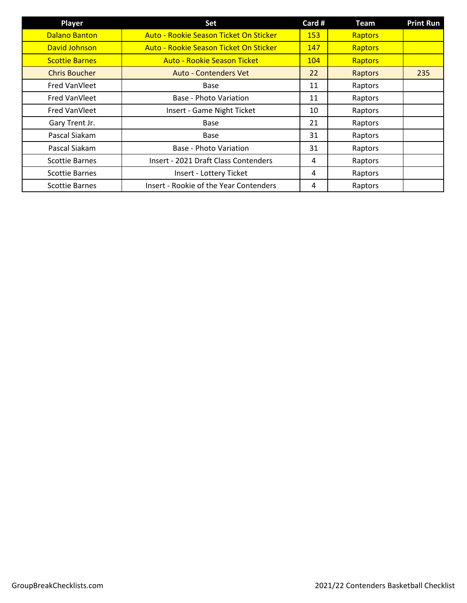| Player                | Set                                    | Card #     | <b>Team</b>    | <b>Print Run</b> |
|-----------------------|----------------------------------------|------------|----------------|------------------|
| <b>Dalano Banton</b>  | Auto - Rookie Season Ticket On Sticker | <b>153</b> | Raptors        |                  |
| David Johnson         | Auto - Rookie Season Ticket On Sticker | 147        | <b>Raptors</b> |                  |
| <b>Scottie Barnes</b> | <b>Auto - Rookie Season Ticket</b>     | 104        | Raptors        |                  |
| <b>Chris Boucher</b>  | <b>Auto - Contenders Vet</b>           | 22         | Raptors        | 235              |
| Fred VanVleet         | Base                                   | 11         | Raptors        |                  |
| Fred VanVleet         | Base - Photo Variation                 | 11         | Raptors        |                  |
| Fred VanVleet         | Insert - Game Night Ticket             | 10         | Raptors        |                  |
| Gary Trent Jr.        | Base                                   | 21         | Raptors        |                  |
| Pascal Siakam         | Base                                   | 31         | Raptors        |                  |
| Pascal Siakam         | Base - Photo Variation                 | 31         | Raptors        |                  |
| <b>Scottie Barnes</b> | Insert - 2021 Draft Class Contenders   | 4          | Raptors        |                  |
| <b>Scottie Barnes</b> | Insert - Lottery Ticket                | 4          | Raptors        |                  |
| <b>Scottie Barnes</b> | Insert - Rookie of the Year Contenders | 4          | Raptors        |                  |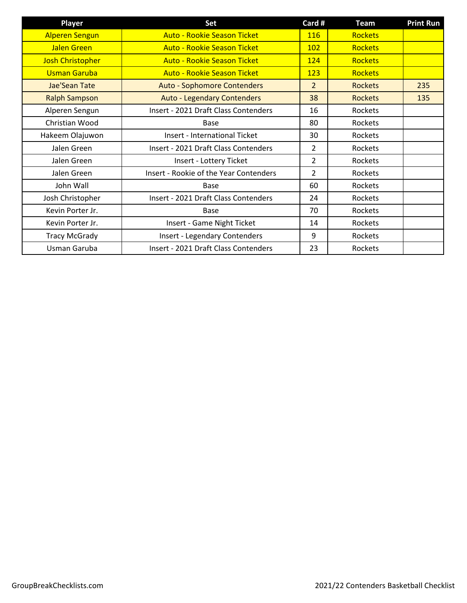| <b>Player</b>           | Set                                    | Card #         | <b>Team</b>    | <b>Print Run</b> |
|-------------------------|----------------------------------------|----------------|----------------|------------------|
| <b>Alperen Sengun</b>   | <b>Auto - Rookie Season Ticket</b>     | <b>116</b>     | <b>Rockets</b> |                  |
| <b>Jalen Green</b>      | <b>Auto - Rookie Season Ticket</b>     | <b>102</b>     | <b>Rockets</b> |                  |
| <b>Josh Christopher</b> | <b>Auto - Rookie Season Ticket</b>     | 124            | <b>Rockets</b> |                  |
| <b>Usman Garuba</b>     | <b>Auto - Rookie Season Ticket</b>     | 123            | <b>Rockets</b> |                  |
| Jae'Sean Tate           | <b>Auto - Sophomore Contenders</b>     | $\overline{2}$ | <b>Rockets</b> | 235              |
| <b>Ralph Sampson</b>    | <b>Auto - Legendary Contenders</b>     | 38             | <b>Rockets</b> | 135              |
| Alperen Sengun          | Insert - 2021 Draft Class Contenders   | 16             | Rockets        |                  |
| Christian Wood          | Base                                   | 80             | Rockets        |                  |
| Hakeem Olajuwon         | <b>Insert - International Ticket</b>   | 30             | Rockets        |                  |
| Jalen Green             | Insert - 2021 Draft Class Contenders   | 2              | Rockets        |                  |
| Jalen Green             | Insert - Lottery Ticket                | $\overline{2}$ | Rockets        |                  |
| Jalen Green             | Insert - Rookie of the Year Contenders | $\overline{2}$ | Rockets        |                  |
| John Wall               | Base                                   | 60             | Rockets        |                  |
| Josh Christopher        | Insert - 2021 Draft Class Contenders   | 24             | Rockets        |                  |
| Kevin Porter Jr.        | Base                                   | 70             | Rockets        |                  |
| Kevin Porter Jr.        | Insert - Game Night Ticket             | 14             | Rockets        |                  |
| <b>Tracy McGrady</b>    | <b>Insert - Legendary Contenders</b>   | 9              | Rockets        |                  |
| Usman Garuba            | Insert - 2021 Draft Class Contenders   | 23             | Rockets        |                  |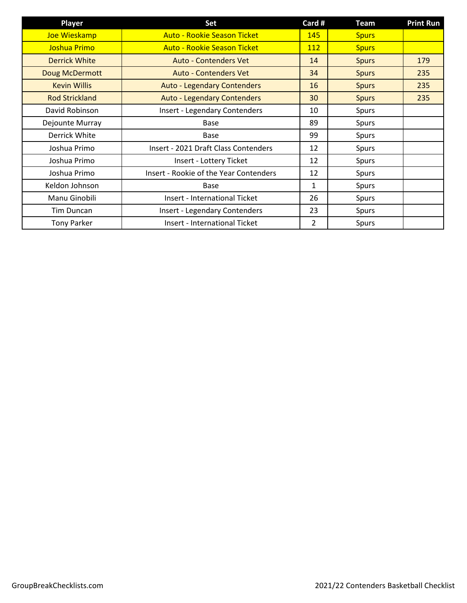| <b>Player</b>         | Set                                    | Card #         | <b>Team</b>  | <b>Print Run</b> |
|-----------------------|----------------------------------------|----------------|--------------|------------------|
| Joe Wieskamp          | <b>Auto - Rookie Season Ticket</b>     | 145            | <b>Spurs</b> |                  |
| Joshua Primo          | <b>Auto - Rookie Season Ticket</b>     | 112            | <b>Spurs</b> |                  |
| <b>Derrick White</b>  | <b>Auto - Contenders Vet</b>           | 14             | <b>Spurs</b> | 179              |
| Doug McDermott        | <b>Auto - Contenders Vet</b>           | 34             | <b>Spurs</b> | 235              |
| <b>Kevin Willis</b>   | <b>Auto - Legendary Contenders</b>     | 16             | <b>Spurs</b> | 235              |
| <b>Rod Strickland</b> | <b>Auto - Legendary Contenders</b>     | 30             | <b>Spurs</b> | 235              |
| David Robinson        | <b>Insert - Legendary Contenders</b>   | 10             | Spurs        |                  |
| Dejounte Murray       | Base                                   | 89             | Spurs        |                  |
| Derrick White         | Base                                   | 99             | Spurs        |                  |
| Joshua Primo          | Insert - 2021 Draft Class Contenders   | 12             | Spurs        |                  |
| Joshua Primo          | Insert - Lottery Ticket                | 12             | Spurs        |                  |
| Joshua Primo          | Insert - Rookie of the Year Contenders | 12             | Spurs        |                  |
| Keldon Johnson        | Base                                   | 1              | Spurs        |                  |
| Manu Ginobili         | <b>Insert - International Ticket</b>   | 26             | Spurs        |                  |
| Tim Duncan            | <b>Insert - Legendary Contenders</b>   | 23             | Spurs        |                  |
| <b>Tony Parker</b>    | <b>Insert - International Ticket</b>   | $\overline{2}$ | Spurs        |                  |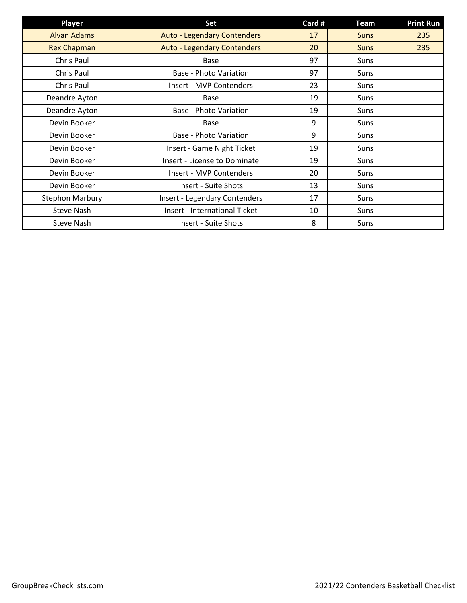| <b>Player</b>          | Set                                  | Card # | <b>Team</b> | <b>Print Run</b> |
|------------------------|--------------------------------------|--------|-------------|------------------|
| <b>Alvan Adams</b>     | <b>Auto - Legendary Contenders</b>   | 17     | <b>Suns</b> | 235              |
| <b>Rex Chapman</b>     | <b>Auto - Legendary Contenders</b>   | 20     | <b>Suns</b> | 235              |
| Chris Paul             | Base                                 | 97     | Suns        |                  |
| Chris Paul             | <b>Base - Photo Variation</b>        | 97     | Suns        |                  |
| Chris Paul             | Insert - MVP Contenders              | 23     | Suns        |                  |
| Deandre Ayton          | Base                                 | 19     | Suns        |                  |
| Deandre Ayton          | <b>Base - Photo Variation</b>        | 19     | Suns        |                  |
| Devin Booker           | Base                                 | 9      | Suns        |                  |
| Devin Booker           | <b>Base - Photo Variation</b>        | 9      | Suns        |                  |
| Devin Booker           | Insert - Game Night Ticket           | 19     | Suns        |                  |
| Devin Booker           | Insert - License to Dominate         | 19     | Suns        |                  |
| Devin Booker           | Insert - MVP Contenders              | 20     | Suns        |                  |
| Devin Booker           | Insert - Suite Shots                 | 13     | Suns        |                  |
| <b>Stephon Marbury</b> | <b>Insert - Legendary Contenders</b> | 17     | Suns        |                  |
| <b>Steve Nash</b>      | <b>Insert - International Ticket</b> | 10     | Suns        |                  |
| <b>Steve Nash</b>      | <b>Insert - Suite Shots</b>          | 8      | Suns        |                  |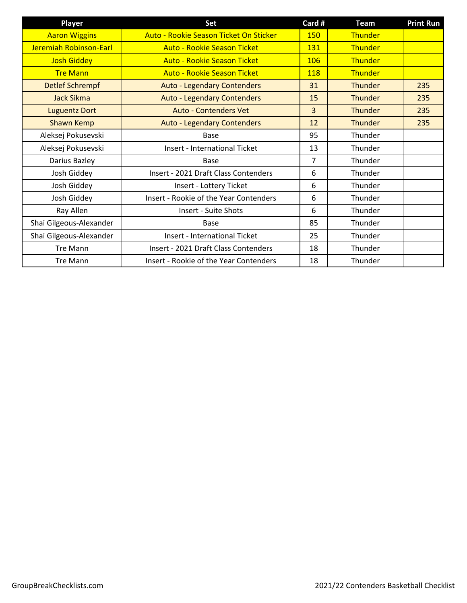| <b>Player</b>           | Set                                    | Card #         | <b>Team</b>    | <b>Print Run</b> |
|-------------------------|----------------------------------------|----------------|----------------|------------------|
| <b>Aaron Wiggins</b>    | Auto - Rookie Season Ticket On Sticker | 150            | Thunder        |                  |
| Jeremiah Robinson-Earl  | <b>Auto - Rookie Season Ticket</b>     | 131            | Thunder        |                  |
| <b>Josh Giddey</b>      | <b>Auto - Rookie Season Ticket</b>     | 106            | Thunder        |                  |
| <b>Tre Mann</b>         | <b>Auto - Rookie Season Ticket</b>     | 118            | Thunder        |                  |
| <b>Detlef Schrempf</b>  | <b>Auto - Legendary Contenders</b>     | 31             | <b>Thunder</b> | 235              |
| <b>Jack Sikma</b>       | <b>Auto - Legendary Contenders</b>     | 15             | Thunder        | 235              |
| <b>Luguentz Dort</b>    | <b>Auto - Contenders Vet</b>           | $\overline{3}$ | Thunder        | 235              |
| <b>Shawn Kemp</b>       | <b>Auto - Legendary Contenders</b>     | 12             | <b>Thunder</b> | 235              |
| Aleksej Pokusevski      | <b>Base</b>                            | 95             | Thunder        |                  |
| Aleksej Pokusevski      | <b>Insert - International Ticket</b>   | 13             | Thunder        |                  |
| Darius Bazley           | Base                                   | 7              | Thunder        |                  |
| Josh Giddey             | Insert - 2021 Draft Class Contenders   | 6              | Thunder        |                  |
| Josh Giddey             | Insert - Lottery Ticket                | 6              | Thunder        |                  |
| Josh Giddey             | Insert - Rookie of the Year Contenders | 6              | Thunder        |                  |
| Ray Allen               | Insert - Suite Shots                   | 6              | Thunder        |                  |
| Shai Gilgeous-Alexander | <b>Base</b>                            | 85             | Thunder        |                  |
| Shai Gilgeous-Alexander | <b>Insert - International Ticket</b>   | 25             | Thunder        |                  |
| <b>Tre Mann</b>         | Insert - 2021 Draft Class Contenders   | 18             | Thunder        |                  |
| <b>Tre Mann</b>         | Insert - Rookie of the Year Contenders | 18             | Thunder        |                  |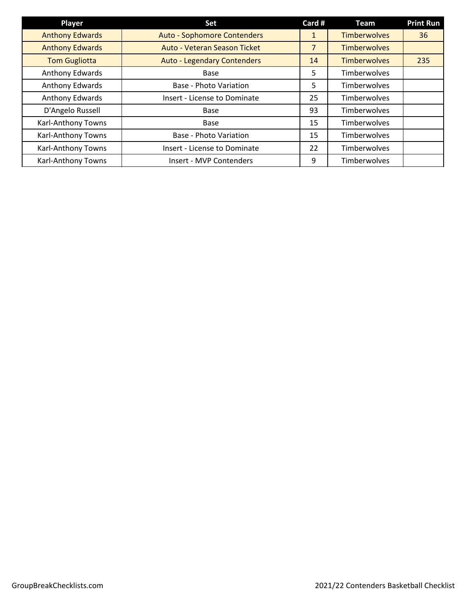| Player                    | Set                                 | Card #         | <b>Team</b>         | <b>Print Run</b> |
|---------------------------|-------------------------------------|----------------|---------------------|------------------|
| <b>Anthony Edwards</b>    | <b>Auto - Sophomore Contenders</b>  | 1              | <b>Timberwolves</b> | 36               |
| <b>Anthony Edwards</b>    | Auto - Veteran Season Ticket        | $\overline{7}$ | <b>Timberwolves</b> |                  |
| <b>Tom Gugliotta</b>      | <b>Auto - Legendary Contenders</b>  | 14             | <b>Timberwolves</b> | 235              |
| Anthony Edwards           | <b>Base</b>                         | 5              | Timberwolves        |                  |
| Anthony Edwards           | <b>Base - Photo Variation</b>       | 5              | Timberwolves        |                  |
| Anthony Edwards           | <b>Insert - License to Dominate</b> | 25             | Timberwolves        |                  |
| D'Angelo Russell          | Base                                | 93             | Timberwolves        |                  |
| Karl-Anthony Towns        | Base                                | 15             | Timberwolves        |                  |
| Karl-Anthony Towns        | <b>Base - Photo Variation</b>       | 15             | Timberwolves        |                  |
| Karl-Anthony Towns        | Insert - License to Dominate        | 22             | Timberwolves        |                  |
| <b>Karl-Anthony Towns</b> | Insert - MVP Contenders             | 9              | Timberwolves        |                  |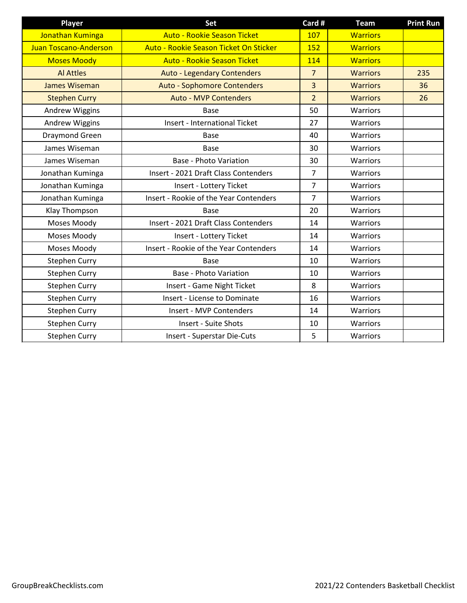| <b>Player</b>         | Set                                    | Card #         | <b>Team</b>     | <b>Print Run</b> |
|-----------------------|----------------------------------------|----------------|-----------------|------------------|
| Jonathan Kuminga      | <b>Auto - Rookie Season Ticket</b>     | 107            | <b>Warriors</b> |                  |
| Juan Toscano-Anderson | Auto - Rookie Season Ticket On Sticker | 152            | <b>Warriors</b> |                  |
| <b>Moses Moody</b>    | <b>Auto - Rookie Season Ticket</b>     | 114            | <b>Warriors</b> |                  |
| <b>Al Attles</b>      | <b>Auto - Legendary Contenders</b>     | $\overline{7}$ | <b>Warriors</b> | 235              |
| <b>James Wiseman</b>  | <b>Auto - Sophomore Contenders</b>     | $\overline{3}$ | <b>Warriors</b> | 36               |
| <b>Stephen Curry</b>  | <b>Auto - MVP Contenders</b>           | $\overline{2}$ | <b>Warriors</b> | 26               |
| Andrew Wiggins        | Base                                   | 50             | Warriors        |                  |
| <b>Andrew Wiggins</b> | <b>Insert - International Ticket</b>   | 27             | Warriors        |                  |
| Draymond Green        | Base                                   | 40             | Warriors        |                  |
| James Wiseman         | <b>Base</b>                            | 30             | Warriors        |                  |
| James Wiseman         | <b>Base - Photo Variation</b>          | 30             | <b>Warriors</b> |                  |
| Jonathan Kuminga      | Insert - 2021 Draft Class Contenders   | $\overline{7}$ | Warriors        |                  |
| Jonathan Kuminga      | Insert - Lottery Ticket                | $\overline{7}$ | Warriors        |                  |
| Jonathan Kuminga      | Insert - Rookie of the Year Contenders | $\overline{7}$ | Warriors        |                  |
| Klay Thompson         | <b>Base</b>                            | 20             | Warriors        |                  |
| Moses Moody           | Insert - 2021 Draft Class Contenders   | 14             | Warriors        |                  |
| Moses Moody           | Insert - Lottery Ticket                | 14             | Warriors        |                  |
| Moses Moody           | Insert - Rookie of the Year Contenders | 14             | Warriors        |                  |
| <b>Stephen Curry</b>  | Base                                   | 10             | Warriors        |                  |
| <b>Stephen Curry</b>  | <b>Base - Photo Variation</b>          | 10             | Warriors        |                  |
| <b>Stephen Curry</b>  | Insert - Game Night Ticket             | 8              | Warriors        |                  |
| Stephen Curry         | <b>Insert - License to Dominate</b>    | 16             | Warriors        |                  |
| <b>Stephen Curry</b>  | Insert - MVP Contenders                | 14             | Warriors        |                  |
| <b>Stephen Curry</b>  | <b>Insert - Suite Shots</b>            | 10             | Warriors        |                  |
| <b>Stephen Curry</b>  | Insert - Superstar Die-Cuts            | 5              | Warriors        |                  |